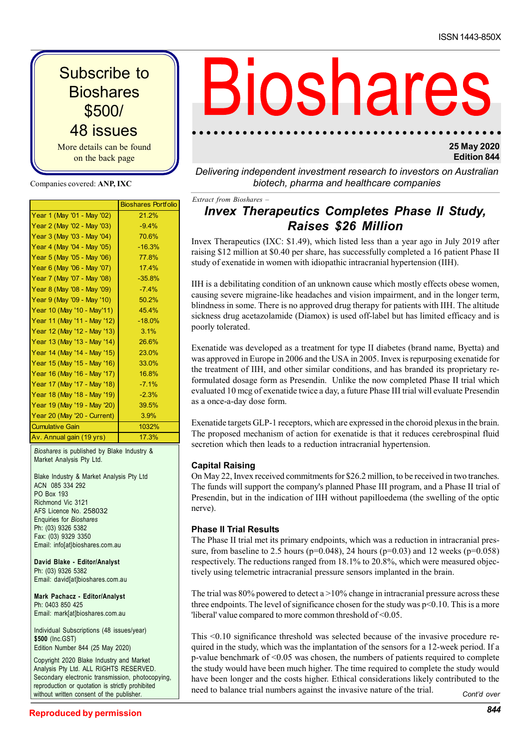| <b>Subscribe to</b><br><b>Bioshares</b><br>\$500/<br>48 issues<br>More details can be found<br>on the back page                                           |                                                | <b>Bioshard</b>                                                                                                                                                                                                                                                                                                                                                 |
|-----------------------------------------------------------------------------------------------------------------------------------------------------------|------------------------------------------------|-----------------------------------------------------------------------------------------------------------------------------------------------------------------------------------------------------------------------------------------------------------------------------------------------------------------------------------------------------------------|
| Companies covered: ANP, IXC                                                                                                                               |                                                | Delivering independent investment research to investo.<br>biotech, pharma and healthcare companie                                                                                                                                                                                                                                                               |
| Year 1 (May '01 - May '02)                                                                                                                                | <b>Bioshares Portfolio</b><br>21.2%            | Extract from Bioshares -<br><b>Invex Therapeutics Completes Phase</b>                                                                                                                                                                                                                                                                                           |
| Year 2 (May '02 - May '03)<br>Year 3 (May '03 - May '04)<br>Year 4 (May '04 - May '05)<br>Year 5 (May '05 - May '06)<br>Year 6 (May '06 - May '07)        | $-9.4%$<br>70.6%<br>$-16.3%$<br>77.8%<br>17.4% | <b>Raises \$26 Million</b><br>Invex Therapeutics (IXC: \$1.49), which listed less than a year ago<br>raising \$12 million at \$0.40 per share, has successfully completed a<br>study of exenatide in women with idiopathic intracranial hypertensio                                                                                                             |
| Year 7 (May '07 - May '08)<br>Year 8 (May '08 - May '09)<br>Year 9 (May '09 - May '10)                                                                    | $-35.8%$<br>$-7.4%$<br>50.2%                   | IIH is a debilitating condition of an unknown cause which mostly eff<br>causing severe migraine-like headaches and vision impairment, and<br>blindness in some. There is no approved drug therapy for patients wi                                                                                                                                               |
| Year 10 (May '10 - May'11)<br>Year 11 (May '11 - May '12)<br>Year 12 (May '12 - May '13)<br>Year 13 (May '13 - May '14)                                   | 45.4%<br>$-18.0%$<br>3.1%<br>26.6%             | sickness drug acetazolamide (Diamox) is used off-label but has lim<br>poorly tolerated.                                                                                                                                                                                                                                                                         |
| Year 14 (May '14 - May '15)<br>Year 15 (May '15 - May '16)<br>Year 16 (May '16 - May '17)<br>Year 17 (May '17 - May '18)<br>Year 18 (May '18 - May '19)   | 23.0%<br>33.0%<br>16.8%<br>$-7.1%$<br>$-2.3%$  | Exenatide was developed as a treatment for type II diabetes (brand<br>was approved in Europe in 2006 and the USA in 2005. Invex is repurp<br>the treatment of IIH, and other similar conditions, and has branded<br>formulated dosage form as Presendin. Unlike the now completed I<br>evaluated 10 mcg of exenatide twice a day, a future Phase III trial will |
| Year 19 (May '19 - May '20)<br>Year 20 (May '20 - Current)<br><b>Cumulative Gain</b><br>Av. Annual gain (19 yrs)                                          | 39.5%<br>3.9%<br>1032%<br>17.3%                | as a once-a-day dose form.<br>Exenatide targets GLP-1 receptors, which are expressed in the choroid<br>The proposed mechanism of action for exenatide is that it reduces                                                                                                                                                                                        |
| Bioshares is published by Blake Industry &<br>Market Analysis Pty Ltd.<br>Blake Industry & Market Analysis Pty Ltd<br>ACN 085 334 292<br>$DO$ $Box$ $103$ |                                                | secretion which then leads to a reduction intracranial hypertension.<br><b>Capital Raising</b><br>On May 22, Invex received commitments for \$26.2 million, to be recei<br>The funds will support the company's planned Phase III program, an                                                                                                                   |

Blake Industry & Market Analysis Pty Ltd ACN 085 334 292 PO Box 193 Richmond Vic 3121 AFS Licence No. 258032 Enquiries for Bioshares Ph: (03) 9326 5382 Fax: (03) 9329 3350 Email: info[at}bioshares.com.au

David Blake - Editor/Analyst Ph: (03) 9326 5382 Email: david[at]bioshares.com.au

Mark Pachacz - Editor/Analyst Ph: 0403 850 425 Email: mark[at]bioshares.com.au

Individual Subscriptions (48 issues/year) \$500 (Inc.GST) Edition Number 844 (25 May 2020)

Copyright 2020 Blake Industry and Market Analysis Pty Ltd. ALL RIGHTS RESERVED. Secondary electronic transmission, photocopying, reproduction or quotation is strictly prohibited without written consent of the publisher

# Subscribe to<br>
Bioshares<br>
S500/<br>
48 issues<br>
More details can be found<br>
on the back page<br>
Tear 1 (May '01 - May '02)<br>
21.2%<br>
21.2%<br>
Therapeutics (IXC: pharma and healthcare compani<br>
Pear 3 (May '02 - May '02)<br>
Year 3 (May '0 Subscribe to<br>
Bioshares<br>
S500/<br>
48 issues<br>
More details can be found<br>
on the back page<br>
More are the found<br>
Openpanies everet. ANP, IXC<br>
Companies everet. ANP, IXC<br>
Vear 1 (May '02 - May '03)<br>
Vear 1 (May '02 - May '03)<br> **Subscribe to**<br>
Bioshares<br>
S500/<br>
48 issues<br>
on the back page<br>
on the back page<br>
Companies covered: ANP, IXC<br>
Companies covered: ANP, IXC<br>
Companies covered: ANP, IXC<br>
Companies covered: ANP, IXC<br>
Near 4 (May '03 - May '02 **Subscribe to**<br>
Bioshares<br>
S500/<br>
48 issues<br>
More details can be found<br>
on the back page<br>
More details can be found<br>  $\frac{1}{\sqrt{2}}$ <br>
Year  $\frac{1}{2}$ <br>
Year  $\frac{1}{2}$ <br>
Year  $\frac{1}{2}$ <br>
Year  $\frac{1}{2}$ <br>
Year  $\frac{1}{2}$ <br>
Year  $\frac{1$

## 25 May 2020 Edition 844

Delivering independent investment research to investors on Australian biotech, pharma and healthcare companies

# Bioshares Portfolio<br>
21.2% **Invex Therapeutics Completes Phase II Study**, Raises \$26 Million

Invex Therapeutics (IXC: \$1.49), which listed less than a year ago in July 2019 after raising \$12 million at \$0.40 per share, has successfully completed a 16 patient Phase II study of exenatide in women with idiopathic intracranial hypertension (IIH).

IIH is a debilitating condition of an unknown cause which mostly effects obese women, causing severe migraine-like headaches and vision impairment, and in the longer term, blindness in some. There is no approved drug therapy for patients with IIH. The altitude sickness drug acetazolamide (Diamox) is used off-label but has limited efficacy and is poorly tolerated.

Exenatide was developed as a treatment for type II diabetes (brand name, Byetta) and was approved in Europe in 2006 and the USA in 2005. Invex is repurposing exenatide for the treatment of IIH, and other similar conditions, and has branded its proprietary reformulated dosage form as Presendin. Unlike the now completed Phase II trial which evaluated 10 mcg of exenatide twice a day, a future Phase III trial will evaluate Presendin as a once-a-day dose form.

Exenatide targets GLP-1 receptors, which are expressed in the choroid plexus in the brain. The proposed mechanism of action for exenatide is that it reduces cerebrospinal fluid secretion which then leads to a reduction intracranial hypertension.

## Capital Raising

On May 22, Invex received commitments for \$26.2 million, to be received in two tranches. The funds will support the company's planned Phase III program, and a Phase II trial of Presendin, but in the indication of IIH without papilloedema (the swelling of the optic nerve).

## Phase II Trial Results

The Phase II trial met its primary endpoints, which was a reduction in intracranial pressure, from baseline to 2.5 hours ( $p=0.048$ ), 24 hours ( $p=0.03$ ) and 12 weeks ( $p=0.058$ ) respectively. The reductions ranged from 18.1% to 20.8%, which were measured objectively using telemetric intracranial pressure sensors implanted in the brain.

The trial was  $80\%$  powered to detect a  $>10\%$  change in intracranial pressure across these three endpoints. The level of significance chosen for the study was  $p<0.10$ . This is a more 'liberal' value compared to more common threshold of <0.05.

This <0.10 significance threshold was selected because of the invasive procedure required in the study, which was the implantation of the sensors for a 12-week period. If a p-value benchmark of  $\leq 0.05$  was chosen, the numbers of patients required to complete the study would have been much higher. The time required to complete the study would have been longer and the costs higher. Ethical considerations likely contributed to the need to balance trial numbers against the invasive nature of the trial. Cont'd over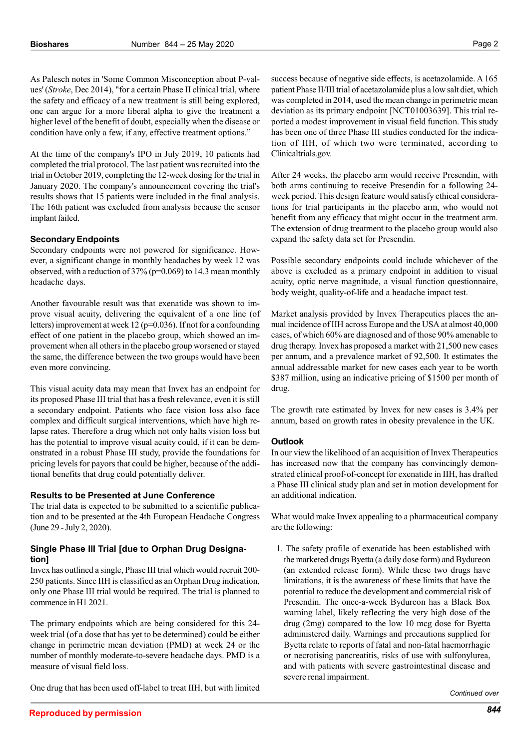As Palesch notes in 'Some Common Misconception about P-values' (Stroke, Dec 2014), "for a certain Phase II clinical trial, where the safety and efficacy of a new treatment is still being explored, one can argue for a more liberal alpha to give the treatment a higher level of the benefit of doubt, especially when the disease or condition have only a few, if any, effective treatment options."

At the time of the company's IPO in July 2019, 10 patients had completed the trial protocol. The last patient was recruited into the trial in October 2019, completing the 12-week dosing for the trial in January 2020. The company's announcement covering the trial's results shows that 15 patients were included in the final analysis. The 16th patient was excluded from analysis because the sensor implant failed.

### Secondary Endpoints

Secondary endpoints were not powered for significance. However, a significant change in monthly headaches by week 12 was observed, with a reduction of  $37\%$  (p=0.069) to 14.3 mean monthly headache days.

Another favourable result was that exenatide was shown to improve visual acuity, delivering the equivalent of a one line (of letters) improvement at week 12 ( $p=0.036$ ). If not for a confounding effect of one patient in the placebo group, which showed an improvement when all others in the placebo group worsened or stayed the same, the difference between the two groups would have been even more convincing.

This visual acuity data may mean that Invex has an endpoint for its proposed Phase III trial that has a fresh relevance, even it is still a secondary endpoint. Patients who face vision loss also face complex and difficult surgical interventions, which have high relapse rates. Therefore a drug which not only halts vision loss but has the potential to improve visual acuity could, if it can be demonstrated in a robust Phase III study, provide the foundations for pricing levels for payors that could be higher, because of the additional benefits that drug could potentially deliver.

### Results to be Presented at June Conference

The trial data is expected to be submitted to a scientific publication and to be presented at the 4th European Headache Congress (June 29 - July 2, 2020).

### Single Phase III Trial [due to Orphan Drug Designation]

Invex has outlined a single, Phase III trial which would recruit 200- 250 patients. Since IIH is classified as an Orphan Drug indication, only one Phase III trial would be required. The trial is planned to commence in H1 2021.

The primary endpoints which are being considered for this 24 week trial (of a dose that has yet to be determined) could be either change in perimetric mean deviation (PMD) at week 24 or the number of monthly moderate-to-severe headache days. PMD is a measure of visual field loss.

One drug that has been used off-label to treat IIH, but with limited

success because of negative side effects, is acetazolamide. A 165 patient Phase II/III trial of acetazolamide plus a low salt diet, which was completed in 2014, used the mean change in perimetric mean deviation as its primary endpoint [NCT01003639]. This trial reported a modest improvement in visual field function. This study has been one of three Phase III studies conducted for the indication of IIH, of which two were terminated, according to Clinicaltrials.gov.

After 24 weeks, the placebo arm would receive Presendin, with both arms continuing to receive Presendin for a following 24 week period. This design feature would satisfy ethical considerations for trial participants in the placebo arm, who would not benefit from any efficacy that might occur in the treatment arm. The extension of drug treatment to the placebo group would also expand the safety data set for Presendin.

Possible secondary endpoints could include whichever of the above is excluded as a primary endpoint in addition to visual acuity, optic nerve magnitude, a visual function questionnaire, body weight, quality-of-life and a headache impact test.

Market analysis provided by Invex Therapeutics places the annual incidence of IIH across Europe and the USA at almost 40,000 cases, of which 60% are diagnosed and of those 90% amenable to drug therapy. Invex has proposed a market with 21,500 new cases per annum, and a prevalence market of 92,500. It estimates the annual addressable market for new cases each year to be worth \$387 million, using an indicative pricing of \$1500 per month of drug.

The growth rate estimated by Invex for new cases is 3.4% per annum, based on growth rates in obesity prevalence in the UK.

### **Outlook**

In our view the likelihood of an acquisition of Invex Therapeutics has increased now that the company has convincingly demonstrated clinical proof-of-concept for exenatide in IIH, has drafted a Phase III clinical study plan and set in motion development for an additional indication.

What would make Invex appealing to a pharmaceutical company are the following:

1. The safety profile of exenatide has been established with the marketed drugs Byetta (a daily dose form) and Bydureon (an extended release form). While these two drugs have limitations, it is the awareness of these limits that have the potential to reduce the development and commercial risk of Presendin. The once-a-week Bydureon has a Black Box warning label, likely reflecting the very high dose of the drug (2mg) compared to the low 10 mcg dose for Byetta administered daily. Warnings and precautions supplied for Byetta relate to reports of fatal and non-fatal haemorrhagic or necrotising pancreatitis, risks of use with sulfonylurea, and with patients with severe gastrointestinal disease and severe renal impairment.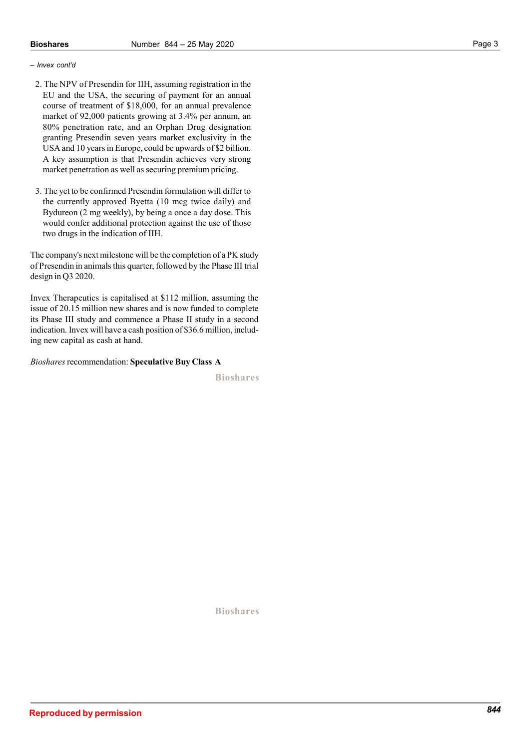### – Invex cont'd

- 2. The NPV of Presendin for IIH, assuming registration in the EU and the USA, the securing of payment for an annual course of treatment of \$18,000, for an annual prevalence market of 92,000 patients growing at 3.4% per annum, an 80% penetration rate, and an Orphan Drug designation granting Presendin seven years market exclusivity in the USA and 10 years in Europe, could be upwards of \$2 billion. A key assumption is that Presendin achieves very strong market penetration as well as securing premium pricing.
- 3. The yet to be confirmed Presendin formulation will differ to the currently approved Byetta (10 mcg twice daily) and Bydureon (2 mg weekly), by being a once a day dose. This would confer additional protection against the use of those two drugs in the indication of IIH.

The company's next milestone will be the completion of a PK study of Presendin in animals this quarter, followed by the Phase III trial design in Q3 2020.

Invex Therapeutics is capitalised at \$112 million, assuming the issue of 20.15 million new shares and is now funded to complete its Phase III study and commence a Phase II study in a second indication. Invex will have a cash position of \$36.6 million, including new capital as cash at hand.

Bioshares recommendation: Speculative Buy Class A

Bioshares

Bioshares